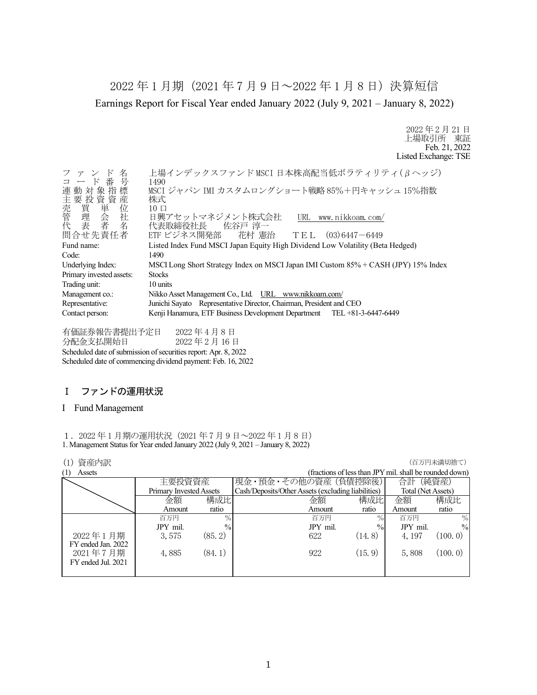2022 年 1 月期(2021 年 7 月 9 日~2022 年 1 月 8 日)決算短信 Earnings Report for Fiscal Year ended January 2022 (July 9, 2021 – January 8, 2022)

> 2022 年 2 月 21 日 上場取引所 東証 Feb. 21, 2022 Listed Exchange: TSE

| ファンド名<br>コード番号<br>連動対象指標<br>主要投資資産                                                     | 上場インデックスファンド MSCI 日本株高配当低ボラティリティ(βヘッジ)<br>1490<br>MSCI ジャパン IMI カスタムロングショート戦略 85%+円キャッシュ 15%指数<br>株式           |  |  |
|----------------------------------------------------------------------------------------|----------------------------------------------------------------------------------------------------------------|--|--|
| <b>「売管理表」の意味を含むことになる。</b><br>「ござい」<br>「ごうしゃ」<br>「ごうしゃ」<br>問合せ先責任者                      | $10 \Box$<br>日興アセットマネジメント株式会社<br>URL www.nikkoam.com/<br>代表取締役社長 佐谷戸 淳一<br>ETF ビジネス開発部 花村 憲治 TEL (03)6447-6449 |  |  |
| Fund name:                                                                             | Listed Index Fund MSCI Japan Equity High Dividend Low Volatility (Beta Hedged)                                 |  |  |
| Code:                                                                                  | 1490                                                                                                           |  |  |
| Underlying Index:                                                                      | MSCI Long Short Strategy Index on MSCI Japan IMI Custom 85% + CASH (JPY) 15% Index                             |  |  |
| Primary invested assets:                                                               | <b>Stocks</b>                                                                                                  |  |  |
| Trading unit:                                                                          | 10 units                                                                                                       |  |  |
| Nikko Asset Management Co., Ltd. URL www.nikkoam.com/<br>Management co.:               |                                                                                                                |  |  |
| Junichi Sayato Representative Director, Chairman, President and CEO<br>Representative: |                                                                                                                |  |  |
| Contact person:                                                                        | Kenji Hanamura, ETF Business Development Department TEL +81-3-6447-6449                                        |  |  |

有価証券報告書提出予定日 2022 年 4 月 8 日<br>分配金支払開始日 2022 年 2 月 16 日 分配金支払開始日 Scheduled date of submission of securities report: Apr. 8, 2022 Scheduled date of commencing dividend payment: Feb. 16, 2022

## Ⅰ ファンドの運用状況

#### I Fund Management

1.2022 年 1 月期の運用状況(2021 年 7 月 9 日~2022 年 1 月 8 日) 1. Management Status for Year ended January 2022 (July 9, 2021 – January 8, 2022)

| (1) | 資産内訳 |
|-----|------|
|     |      |

| (1) | 資産内訳               |                         |               |                                                    |         |                                                         | (百万円未満切捨て)    |
|-----|--------------------|-------------------------|---------------|----------------------------------------------------|---------|---------------------------------------------------------|---------------|
| (1) | Assets             |                         |               |                                                    |         | (fractions of less than JPY mil. shall be rounded down) |               |
|     |                    | 主要投資資産                  |               | 現金・預金・その他の資産(負債控除後)                                |         | 合計                                                      | (純資産)         |
|     |                    | Primary Invested Assets |               | Cash/Deposits/Other Assets (excluding liabilities) |         | Total (Net Assets)                                      |               |
|     |                    | 金額                      | 構成比           | 金額                                                 | 構成比     | 金額                                                      | 構成比           |
|     |                    | Amount                  | ratio         | Amount                                             | ratio   | Amount                                                  | ratio         |
|     |                    | 百万円                     | $\%$          | 百万円                                                |         | 百万円                                                     | $\frac{0}{0}$ |
|     |                    | JPY mil.                | $\frac{0}{0}$ | JPY mil.                                           | $\%$    | JPY mil.                                                | $\frac{0}{0}$ |
|     | 2022年1月期           | 3,575                   | (85, 2)       | 622                                                | (14, 8) | 4, 197                                                  | (100.0)       |
|     | FY ended Jan. 2022 |                         |               |                                                    |         |                                                         |               |
|     | 2021年7月期           | 4,885                   | (84.1)        | 922                                                | (15.9)  | 5,808                                                   | (100.0)       |
|     | FY ended Jul. 2021 |                         |               |                                                    |         |                                                         |               |
|     |                    |                         |               |                                                    |         |                                                         |               |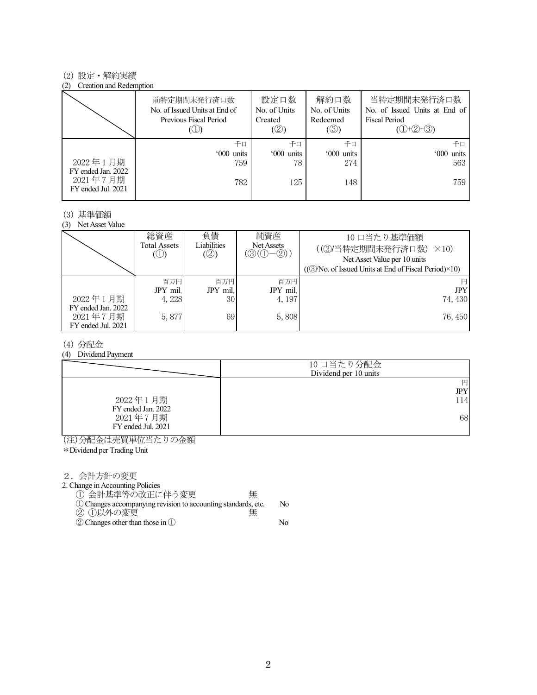#### (2) 設定・解約実績

#### (2) Creation and Redemption

|                                                      | 前特定期間末発行済口数<br>No. of Issued Units at End of<br>Previous Fiscal Period | 設定口数<br>No. of Units<br>Created<br>(②) | 解約口数<br>No. of Units<br>Redeemed<br>(③) | 当特定期間末発行済口数<br>No. of Issued Units at End of<br><b>Fiscal Period</b><br>$(①+②-③)$ |
|------------------------------------------------------|------------------------------------------------------------------------|----------------------------------------|-----------------------------------------|-----------------------------------------------------------------------------------|
|                                                      | 千口                                                                     | 千口                                     | 千口                                      | 千口                                                                                |
|                                                      | '000 units                                                             | '000 units                             | '000 units                              | '000 units                                                                        |
| 2022年1月期                                             | 759                                                                    | 78                                     | 274                                     | 563                                                                               |
| FY ended Jan. 2022<br>2021年7月期<br>FY ended Jul. 2021 | 782                                                                    | 125                                    | 148                                     | 759                                                                               |

#### (3) 基準価額

(3) Net Asset Value

|                                                      | 総資産<br>Total Assets<br>$\circledcirc$ | 負債<br>Liabilities<br>(②) | 純資産<br>Net Assets<br>$(\textcircled{3}(\textcircled{1}-\textcircled{2}))$ | 10 口当たり基準価額<br>((3)当特定期間末発行済口数)<br>$\times$ 10)<br>Net Asset Value per 10 units<br>$((\textcircled{3}/No. of Issued Units at End of Fiscal Period)\times10)$ |
|------------------------------------------------------|---------------------------------------|--------------------------|---------------------------------------------------------------------------|--------------------------------------------------------------------------------------------------------------------------------------------------------------|
|                                                      | 百万円                                   | 百万円                      | 百万円                                                                       | 円                                                                                                                                                            |
|                                                      | JPY mil.                              | JPY mil.                 | JPY mil.                                                                  | <b>JPY</b>                                                                                                                                                   |
| 2022年1月期                                             | 4,228                                 | 30                       | 4, 197                                                                    | 74, 430                                                                                                                                                      |
| FY ended Jan. 2022<br>2021年7月期<br>FY ended Jul. 2021 | 5,877                                 | 69                       | 5,808                                                                     | 76, 450                                                                                                                                                      |

### (4) 分配金

#### (4) Dividend Payment

|                                | 10 口当たり分配金<br>Dividend per 10 units |
|--------------------------------|-------------------------------------|
|                                | 円<br>JPY                            |
| 2022年1月期<br>FY ended Jan. 2022 | 114                                 |
| 2021年7月期<br>FY ended Jul. 2021 | 68                                  |

(注)分配金は売買単位当たりの金額

\*Dividend per Trading Unit

2.会計方針の変更

2. Change in Accounting Policies

① 会計基準等の改正に伴う変更 無

- ①Changes accompanying revision to accounting standards, etc. No ② ①以外の変更 無
- ②Changes other than those in ① No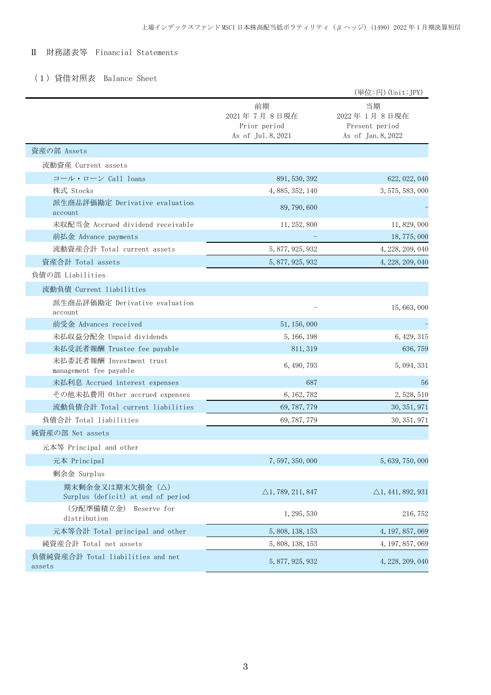# Ⅱ 財務諸表等 Financial Statements

# (1)貸借対照表 Balance Sheet

|                                                       |                                                         | (単位:円) (Unit:JPY)                                         |
|-------------------------------------------------------|---------------------------------------------------------|-----------------------------------------------------------|
|                                                       | 前期<br>2021年7月8日現在<br>Prior period<br>As of Jul. 8, 2021 | 当期<br>2022年1月8日現在<br>Present period<br>As of Jan. 8, 2022 |
| 資産の部 Assets                                           |                                                         |                                                           |
| 流動資産 Current assets                                   |                                                         |                                                           |
| コール・ローン Call loans                                    | 891, 530, 392                                           | 622, 022, 040                                             |
| 株式 Stocks                                             | 4, 885, 352, 140                                        | 3, 575, 583, 000                                          |
| 派生商品評価勘定 Derivative evaluation<br>account             | 89, 790, 600                                            |                                                           |
| 未収配当金 Accrued dividend receivable                     | 11, 252, 800                                            | 11, 829, 000                                              |
| 前払金 Advance payments                                  |                                                         | 18, 775, 000                                              |
| 流動資産合計 Total current assets                           | 5, 877, 925, 932                                        | 4, 228, 209, 040                                          |
| 資産合計 Total assets                                     | 5, 877, 925, 932                                        | 4, 228, 209, 040                                          |
| 負債の部 Liabilities                                      |                                                         |                                                           |
| 流動負債 Current liabilities                              |                                                         |                                                           |
| 派生商品評価勘定 Derivative evaluation<br>account             |                                                         | 15, 663, 000                                              |
| 前受金 Advances received                                 | 51, 156, 000                                            |                                                           |
| 未払収益分配金 Unpaid dividends                              | 5, 166, 198                                             | 6, 429, 315                                               |
| 未払受託者報酬 Trustee fee payable                           | 811, 319                                                | 636, 759                                                  |
| 未払委託者報酬 Investment trust<br>management fee payable    | 6, 490, 793                                             | 5, 094, 331                                               |
| 未払利息 Accrued interest expenses                        | 687                                                     | 56                                                        |
| その他未払費用 Other accrued expenses                        | 6, 162, 782                                             | 2,528,510                                                 |
| 流動負債合計 Total current liabilities                      | 69, 787, 779                                            | 30, 351, 971                                              |
| 負債合計 Total liabilities                                | 69, 787, 779                                            | 30, 351, 971                                              |
| 純資産の部 Net assets                                      |                                                         |                                                           |
| 元本等 Principal and other                               |                                                         |                                                           |
| 元本 Principal                                          | 7, 597, 350, 000                                        | 5, 639, 750, 000                                          |
| 剰余金 Surplus                                           |                                                         |                                                           |
| 期末剰余金又は期末欠損金(△)<br>Surplus (deficit) at end of period | $\triangle$ 1, 789, 211, 847                            | $\triangle$ 1, 441, 892, 931                              |
| (分配準備積立金)<br>Reserve for<br>distribution              | 1, 295, 530                                             | 216, 752                                                  |
| 元本等合計 Total principal and other                       | 5, 808, 138, 153                                        | 4, 197, 857, 069                                          |
| 純資産合計 Total net assets                                | 5, 808, 138, 153                                        | 4, 197, 857, 069                                          |
| 負債純資産合計 Total liabilities and net<br>assets           | 5, 877, 925, 932                                        | 4, 228, 209, 040                                          |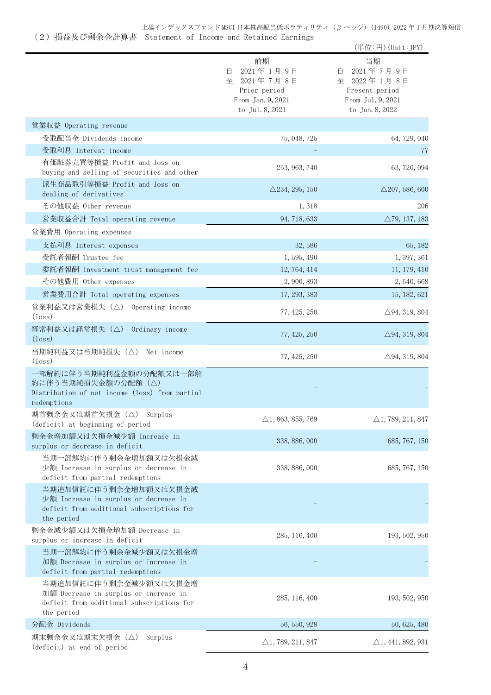|                                                                                                                           |                                                                                                | (単位:円) (Unit:JPY)                                                                                |
|---------------------------------------------------------------------------------------------------------------------------|------------------------------------------------------------------------------------------------|--------------------------------------------------------------------------------------------------|
|                                                                                                                           | 前期<br>2021年1月9日<br>自<br>至<br>2021年7月8日<br>Prior period<br>From Jan. 9, 2021<br>to Jul. 8, 2021 | 当期<br>2021年7月9日<br>目<br>2022年1月8日<br>至<br>Present period<br>From Jul. 9, 2021<br>to Jan. 8, 2022 |
| 営業収益 Operating revenue                                                                                                    |                                                                                                |                                                                                                  |
| 受取配当金 Dividends income                                                                                                    | 75, 048, 725                                                                                   | 64, 729, 040                                                                                     |
| 受取利息 Interest income                                                                                                      |                                                                                                | 77                                                                                               |
| 有価証券売買等損益 Profit and loss on<br>buying and selling of securities and other                                                | 253, 963, 740                                                                                  | 63, 720, 094                                                                                     |
| 派生商品取引等損益 Profit and loss on<br>dealing of derivatives                                                                    | $\triangle$ 234, 295, 150                                                                      | $\triangle$ 207, 586, 600                                                                        |
| その他収益 Other revenue                                                                                                       | 1,318                                                                                          | 206                                                                                              |
| 営業収益合計 Total operating revenue                                                                                            | 94, 718, 633                                                                                   | $\triangle$ 79, 137, 183                                                                         |
| 営業費用 Operating expenses                                                                                                   |                                                                                                |                                                                                                  |
| 支払利息 Interest expenses                                                                                                    | 32,586                                                                                         | 65, 182                                                                                          |
| 受託者報酬 Trustee fee                                                                                                         | 1,595,490                                                                                      | 1, 397, 361                                                                                      |
| 委託者報酬 Investment trust management fee                                                                                     | 12, 764, 414                                                                                   | 11, 179, 410                                                                                     |
| その他費用 Other expenses                                                                                                      | 2, 900, 893                                                                                    | 2, 540, 668                                                                                      |
| 営業費用合計 Total operating expenses                                                                                           | 17, 293, 383                                                                                   | 15, 182, 621                                                                                     |
| 営業利益又は営業損失 (△) Operating income<br>$(\text{loss})$                                                                        | 77, 425, 250                                                                                   | $\triangle$ 94, 319, 804                                                                         |
| 経常利益又は経常損失(△)<br>Ordinary income<br>$(\text{loss})$                                                                       | 77, 425, 250                                                                                   | $\triangle$ 94, 319, 804                                                                         |
| 当期純利益又は当期純損失 (△) Net income<br>$(\text{loss})$                                                                            | 77, 425, 250                                                                                   | $\triangle$ 94, 319, 804                                                                         |
| 一部解約に伴う当期純利益金額の分配額又は一部解<br>約に伴う当期純損失金額の分配額(△)<br>Distribution of net income (loss) from partial<br>redemptions            |                                                                                                |                                                                                                  |
| 期首剰余金又は期首欠損金 (△) Surplus<br>(deficit) at beginning of period                                                              | $\triangle$ 1, 863, 855, 769                                                                   | $\triangle$ 1, 789, 211, 847                                                                     |
| 剰余金増加額又は欠損金減少額 Increase in<br>surplus or decrease in deficit                                                              | 338, 886, 000                                                                                  | 685, 767, 150                                                                                    |
| 当期一部解約に伴う剰余金増加額又は欠損金減<br>少額 Increase in surplus or decrease in<br>deficit from partial redemptions                        | 338, 886, 000                                                                                  | 685, 767, 150                                                                                    |
| 当期追加信託に伴う剰余金増加額又は欠損金減<br>少額 Increase in surplus or decrease in<br>deficit from additional subscriptions for<br>the period |                                                                                                |                                                                                                  |
| 剰余金減少額又は欠損金増加額 Decrease in<br>surplus or increase in deficit                                                              | 285, 116, 400                                                                                  | 193, 502, 950                                                                                    |
| 当期一部解約に伴う剰余金減少額又は欠損金増<br>加額 Decrease in surplus or increase in<br>deficit from partial redemptions                        |                                                                                                |                                                                                                  |
| 当期追加信託に伴う剰余金減少額又は欠損金増<br>加額 Decrease in surplus or increase in<br>deficit from additional subscriptions for<br>the period | 285, 116, 400                                                                                  | 193, 502, 950                                                                                    |
| 分配金 Dividends                                                                                                             | 56, 550, 928                                                                                   | 50, 625, 480                                                                                     |
| 期末剰余金又は期末欠損金 (△)<br>Surplus<br>(deficit) at end of period                                                                 | $\triangle$ 1, 789, 211, 847                                                                   | $\triangle$ 1, 441, 892, 931                                                                     |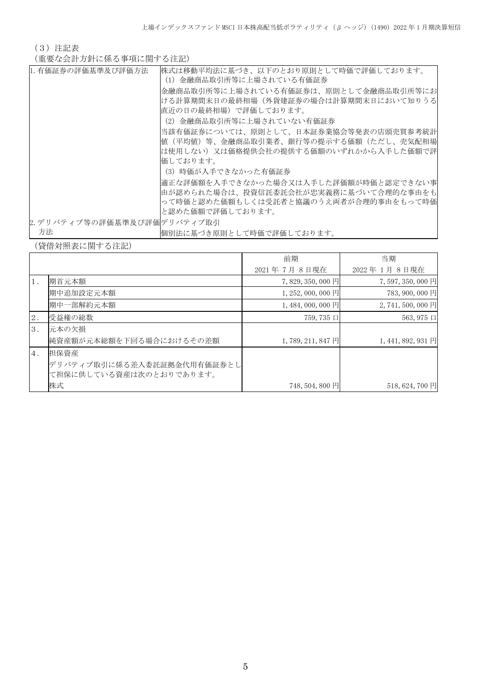(3)注記表

(重要な会計方針に係る事項に関する注記)

| 1. 有価証券の評価基準及び評価方法          | 株式は移動平均法に基づき、以下のとおり原則として時価で評価しております。  |
|-----------------------------|---------------------------------------|
|                             | (1)金融商品取引所等に上場されている有価証券               |
|                             | 金融商品取引所等に上場されている有価証券は、原則として金融商品取引所等にお |
|                             | ける計算期間末日の最終相場(外貨建証券の場合は計算期間末日において知りうる |
|                             | 直近の日の最終相場)で評価しております。                  |
|                             | (2) 金融商品取引所等に上場されていない有価証券             |
|                             | 当該有価証券については、原則として、日本証券業協会等発表の店頭売買参考統計 |
|                             | 値(平均値)等、金融商品取引業者、銀行等の提示する価額(ただし、売気配相場 |
|                             | は使用しない)又は価格提供会社の提供する価額のいずれかから入手した価額で評 |
|                             | 価しております。                              |
|                             | (3)時価が入手できなかった有価証券                    |
|                             | 適正な評価額を入手できなかった場合又は入手した評価額が時価と認定できない事 |
|                             | 由が認められた場合は、投資信託委託会社が忠実義務に基づいて合理的な事由をも |
|                             | って時価と認めた価額もしくは受託者と協議のうえ両者が合理的事由をもって時価 |
|                             | と認めた価額で評価しております。                      |
| 2. デリバティブ等の評価基準及び評価デリバティブ取引 |                                       |

方法

個別法に基づき原則として時価で評価しております。

(貸借対照表に関する注記)

|        |                            | 前期                | 当期                |
|--------|----------------------------|-------------------|-------------------|
|        |                            | 2021年7月8日現在       | 2022年1月8日現在       |
|        | 期首元本額                      | $7,829,350,000$ 円 | 7,597,350,000円    |
|        | 期中追加設定元本額                  | $1,252,000,000$ 円 | 783, 900, 000 円   |
|        | 期中一部解約元本額                  | 1,484,000,000円    | 2,741,500,000円    |
| $2\,.$ | 受益権の総数                     | 759,735 口         | $563,975$ $\Box$  |
| 3.     | 元本の欠損                      |                   |                   |
|        | 純資産額が元本総額を下回る場合におけるその差額    | $1,789,211,847$ 円 | $1,441,892,931$ 円 |
| 4.     | 担保資産                       |                   |                   |
|        | デリバティブ取引に係る差入委託証拠金代用有価証券とし |                   |                   |
|        | て担保に供している資産は次のとおりであります。    |                   |                   |
|        | 株式                         | 748, 504, 800 円   | 518, 624, 700 円   |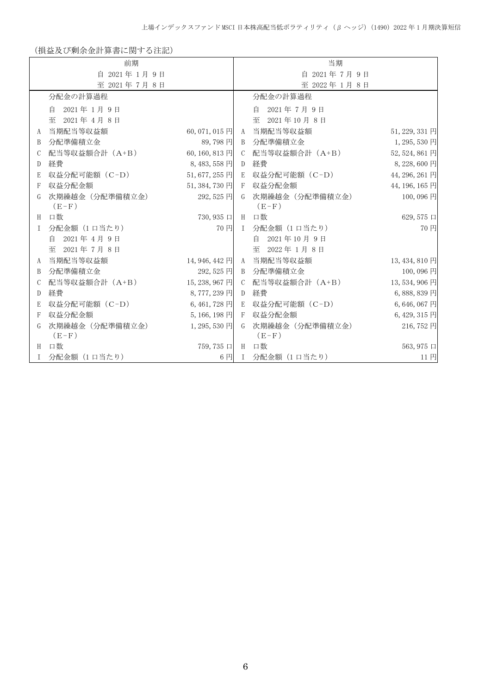(損益及び剰余金計算書に関する注記)

|   | 前期                         |                     |               | 当期                         |                |
|---|----------------------------|---------------------|---------------|----------------------------|----------------|
|   | 自 2021年1月9日                |                     |               | 自 2021年7月9日                |                |
|   | 至 2021年7月8日                |                     |               | 至 2022年1月8日                |                |
|   | 分配金の計算過程                   |                     |               | 分配金の計算過程                   |                |
|   | 2021年1月9日<br>自             |                     |               | 2021年7月9日<br>自             |                |
|   | 至<br>2021年4月8日             |                     |               | 2021年10月8日<br>至            |                |
| A | 当期配当等収益額                   | 60, 071, 015 円      | A             | 当期配当等収益額                   | $51,229,331$ 円 |
| B | 分配準備積立金                    | 89,798円             |               | B 分配準備積立金                  | 1,295,530 円    |
| C | 配当等収益額合計 (A+B)             | $60, 160, 813 \;$ 円 | $\mathcal{C}$ | 配当等収益額合計 (A+B)             | 52, 524, 861 円 |
| D | 経費                         | 8,483,558円          | D             | 経費                         | 8,228,600 円    |
| E | 収益分配可能額 (C-D)              | $51,677,255$ 円      | E             | 収益分配可能額 (C-D)              | 44, 296, 261 円 |
| F | 収益分配金額                     | 51, 384, 730 円      | - F           | 収益分配金額                     | 44, 196, 165 円 |
| G | 次期繰越金 (分配準備積立金)<br>$(E-F)$ | 292,525円            | G             | 次期繰越金 (分配準備積立金)<br>$(E-F)$ | 100,096円       |
| H | 口数                         | 730,935 口           |               | H 口数                       | 629,575 口      |
| I | 分配金額 (1口当たり)               | 70 円                | $\mathbf{I}$  | 分配金額(1口当たり)                | 70円            |
|   | 2021年4月9日<br>自             |                     |               | 2021年10月9日<br>自            |                |
|   | 至 2021年7月8日                |                     |               | 至 2022年1月8日                |                |
| A | 当期配当等収益額                   | 14, 946, 442 円      |               | A 当期配当等収益額                 | 13, 434, 810 円 |
| B | 分配準備積立金                    | 292,525円            |               | B 分配準備積立金                  | 100,096円       |
| C | 配当等収益額合計 (A+B)             | 15, 238, 967 円      |               | C 配当等収益額合計 (A+B)           | 13,534,906円    |
| D | 経費                         | 8,777,239円          | D             | 経費                         | 6,888,839円     |
| E | 収益分配可能額 (C-D)              | 6,461,728円          |               | E 収益分配可能額 (C-D)            | 6,646,067円     |
| F | 収益分配金額                     | 5,166,198円          | F             | 収益分配金額                     | $6,429,315$ 円  |
| G | 次期繰越金 (分配準備積立金)<br>$(E-F)$ | 1,295,530円          | G             | 次期繰越金 (分配準備積立金)<br>$(E-F)$ | 216,752円       |
| H | 口数                         | 759,735 口           |               | H 口数                       | 563,975 口      |
| L | 分配金額 (1口当たり)               | 6円                  | $\mathbf{I}$  | 分配金額(1口当たり)                | 11円            |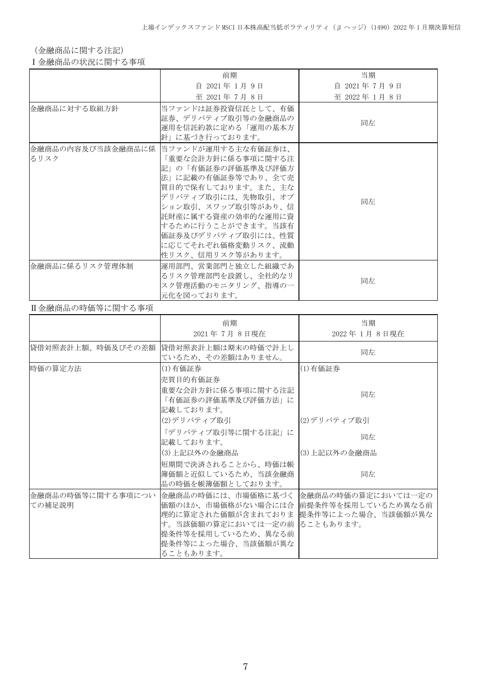(金融商品に関する注記)

Ⅰ金融商品の状況に関する事項

|                | 前期                                                                                                                                                                                                                                                                                       | 当期            |
|----------------|------------------------------------------------------------------------------------------------------------------------------------------------------------------------------------------------------------------------------------------------------------------------------------------|---------------|
|                | 自 2021年1月9日                                                                                                                                                                                                                                                                              | 自 2021年7月9日   |
|                | 至 2021年 7月 8日                                                                                                                                                                                                                                                                            | 至 2022年 1月 8日 |
| 金融商品に対する取組方針   | 当ファンドは証券投資信託として、有価 <br>証券、デリバティブ取引等の金融商品の<br>運用を信託約款に定める「運用の基本方<br>針」に基づき行っております。                                                                                                                                                                                                        | 同左            |
| るリスク           | 金融商品の内容及び当該金融商品に係 当ファンドが運用する主な有価証券は、<br>「重要な会計方針に係る事項に関する注<br> 記」の「有価証券の評価基準及び評価方 <br>法」に記載の有価証券等であり、全て売<br> 買目的で保有しております。また、主な<br>デリバティブ取引には、先物取引、オプ<br>ション取引、スワップ取引等があり、信<br>託財産に属する資産の効率的な運用に資<br>するために行うことができます。当該有<br>価証券及びデリバティブ取引には、性質<br>に応じてそれぞれ価格変動リスク、流動<br>性リスク、信用リスク等があります。 | 同左            |
| 金融商品に係るリスク管理体制 | 運用部門、営業部門と独立した組織であ<br>るリスク管理部門を設置し、全社的なリ<br>スク管理活動のモニタリング、指導の一<br>元化を図っております。                                                                                                                                                                                                            | 同左            |

## Ⅱ金融商品の時価等に関する事項

|                             | 前期<br>2021年7月8日現在                                                                                                                                                                                                 | 当期<br>2022年1月8日現在 |
|-----------------------------|-------------------------------------------------------------------------------------------------------------------------------------------------------------------------------------------------------------------|-------------------|
| 貸借対照表計上額、時価及びその差額           | 貸借対照表計上額は期末の時価で計上し<br>ているため、その差額はありません。                                                                                                                                                                           | 同左                |
| 時価の算定方法                     | (1)有価証券<br>売買目的有価証券<br>重要な会計方針に係る事項に関する注記<br>「有価証券の評価基準及び評価方法」に                                                                                                                                                   | (1)有価証券<br>同左     |
|                             | 記載しております。<br>(2)デリバティブ取引                                                                                                                                                                                          | (2)デリバティブ取引       |
|                             | 「デリバティブ取引等に関する注記」に<br>記載しております。                                                                                                                                                                                   | 同左                |
|                             | (3)上記以外の金融商品                                                                                                                                                                                                      | (3)上記以外の金融商品      |
|                             | 短期間で決済されることから、時価は帳<br>簿価額と近似しているため、当該金融商<br>品の時価を帳簿価額としております。                                                                                                                                                     | 同左                |
| 金融商品の時価等に関する事項につい<br>ての補足説明 | 金融商品の時価には、市場価格に基づく 金融商品の時価の算定においては一定の<br>価額のほか、市場価格がない場合には合  前提条件等を採用しているため異なる前<br>理的に算定された価額が含まれておりま 提条件等によった場合、当該価額が異な<br>す。当該価額の算定においては一定の前 ることもあります。<br>提条件等を採用しているため、異なる前<br>提条件等によった場合、当該価額が異な<br>ることもあります。 |                   |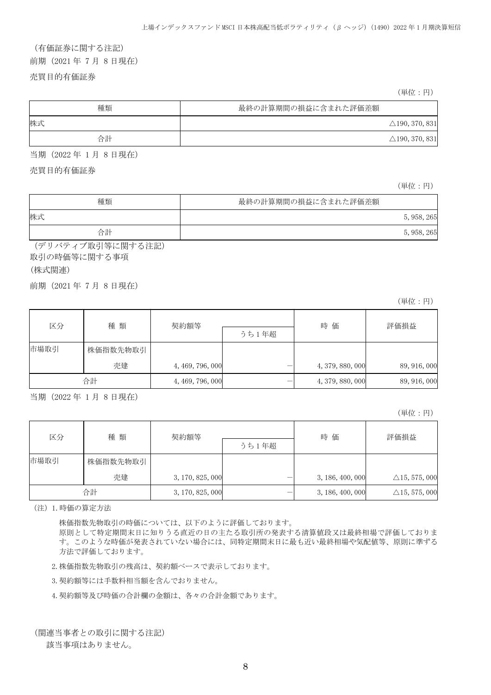# (有価証券に関する注記) 前期(2021 年 7 月 8 日現在)

売買目的有価証券

(単位:円)

| 種類 | 最終の計算期間の損益に含まれた評価差額 |                           |
|----|---------------------|---------------------------|
| 株式 |                     | $\triangle$ 190, 370, 831 |
| 合計 |                     | $\triangle$ 190, 370, 831 |

当期(2022 年 1 月 8 日現在)

売買目的有価証券

(単位:円)

| 種類 | 最終の計算期間の損益に含まれた評価差額 |             |
|----|---------------------|-------------|
| 株式 |                     | 5, 958, 265 |
| 合計 |                     | 5, 958, 265 |

(デリバティブ取引等に関する注記) 取引の時価等に関する事項

(株式関連)

前期(2021 年 7 月 8 日現在)

(単位:円)

| 区分   | 種 類      | 契約額等             |       | 時 価              | 評価損益         |
|------|----------|------------------|-------|------------------|--------------|
|      |          |                  | うち1年超 |                  |              |
| 市場取引 | 株価指数先物取引 |                  |       |                  |              |
|      | 売建       | 4, 469, 796, 000 |       | 4, 379, 880, 000 | 89, 916, 000 |
|      | 合計       | 4, 469, 796, 000 |       | 4, 379, 880, 000 | 89, 916, 000 |

当期(2022 年 1 月 8 日現在)

(単位:円)

| 区分   | 種類       | 契約額等             |       | 時価               | 評価損益                     |
|------|----------|------------------|-------|------------------|--------------------------|
|      |          |                  | うち1年超 |                  |                          |
| 市場取引 | 株価指数先物取引 |                  |       |                  |                          |
|      | 売建       | 3, 170, 825, 000 |       | 3, 186, 400, 000 | $\triangle$ 15, 575, 000 |
|      | 合計       | 3, 170, 825, 000 |       | 3, 186, 400, 000 | $\triangle$ 15, 575, 000 |

(注)1.時価の算定方法

株価指数先物取引の時価については、以下のように評価しております。

原則として特定期間末日に知りうる直近の日の主たる取引所の発表する清算値段又は最終相場で評価しておりま す。このような時価が発表されていない場合には、同特定期間末日に最も近い最終相場や気配値等、原則に準ずる 方法で評価しております。

2.株価指数先物取引の残高は、契約額ベースで表示しております。

3.契約額等には手数料相当額を含んでおりません。

4.契約額等及び時価の合計欄の金額は、各々の合計金額であります。

(関連当事者との取引に関する注記)

該当事項はありません。